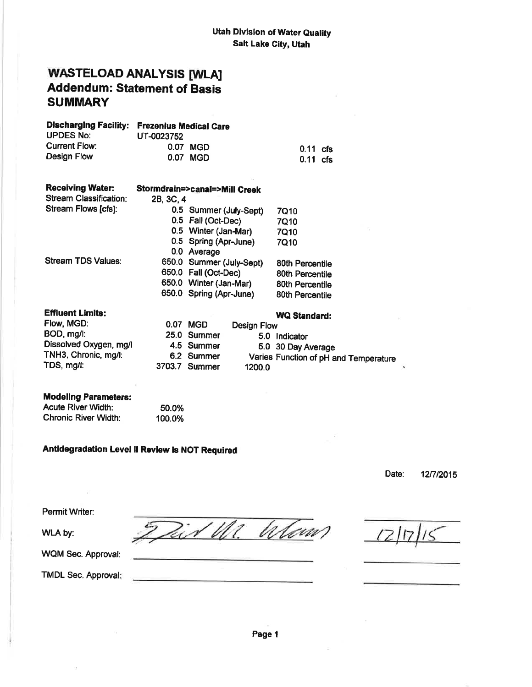# **WASTELOAD ANALYSIS [WLA] Addendum: Statement of Basis SUMMARY**

| <b>Discharging Facility:</b>  | <b>Frezenius Medical Care</b> |                          |                    |                                       |
|-------------------------------|-------------------------------|--------------------------|--------------------|---------------------------------------|
| <b>UPDES No:</b>              | UT-0023752                    |                          |                    |                                       |
| <b>Current Flow:</b>          | 0.07                          | <b>MGD</b>               |                    | $0.11$ cfs                            |
| Design Flow                   | 0.07                          | <b>MGD</b>               |                    | 0.11 cfs                              |
| <b>Receiving Water:</b>       | Stormdrain=>canal=>Mill Creek |                          |                    |                                       |
| <b>Stream Classification:</b> | 2B, 3C, 4                     |                          |                    |                                       |
| Stream Flows [cfs]:           |                               | 0.5 Summer (July-Sept)   |                    | 7Q10                                  |
|                               |                               | 0.5 Fall (Oct-Dec)       |                    | 7Q10                                  |
|                               |                               | 0.5 Winter (Jan-Mar)     |                    | 7Q10                                  |
|                               |                               | 0.5 Spring (Apr-June)    |                    | 7Q10                                  |
|                               |                               | 0.0 Average              |                    |                                       |
| <b>Stream TDS Values:</b>     |                               | 650.0 Summer (July-Sept) |                    | 80th Percentile                       |
|                               |                               | 650.0 Fall (Oct-Dec)     |                    | 80th Percentile                       |
|                               |                               | 650.0 Winter (Jan-Mar)   |                    | 80th Percentile                       |
|                               |                               | 650.0 Spring (Apr-June)  |                    | 80th Percentile                       |
| <b>Effluent Limits:</b>       |                               |                          |                    | <b>WQ Standard:</b>                   |
| Flow, MGD:                    |                               | 0.07 MGD                 | <b>Design Flow</b> |                                       |
| BOD, mg/l:                    |                               | 25.0 Summer              |                    | 5.0 Indicator                         |
| Dissolved Oxygen, mg/l        |                               | 4.5 Summer               |                    | 5.0 30 Day Average                    |
| TNH3, Chronic, mg/l:          |                               | 6.2 Summer               |                    | Varies Function of pH and Temperature |
| TDS, mg/l:                    |                               | 3703.7 Summer            | 1200.0             |                                       |
|                               |                               |                          |                    |                                       |

| <b>Modeling Parameters:</b> |        |
|-----------------------------|--------|
| Acute River Width:          | 50.0%  |
| Chronic River Width:        | 100.0% |

# Antidegradation Level II Review is NOT Required

| Date:<br>12/7/2015 |  |  |
|--------------------|--|--|
|--------------------|--|--|

Permit Writer:

WLA by:

WQM Sec. Approval:

**TMDL Sec. Approval:** 

This M. Whom

 $(2/7)/5$ 

Page 1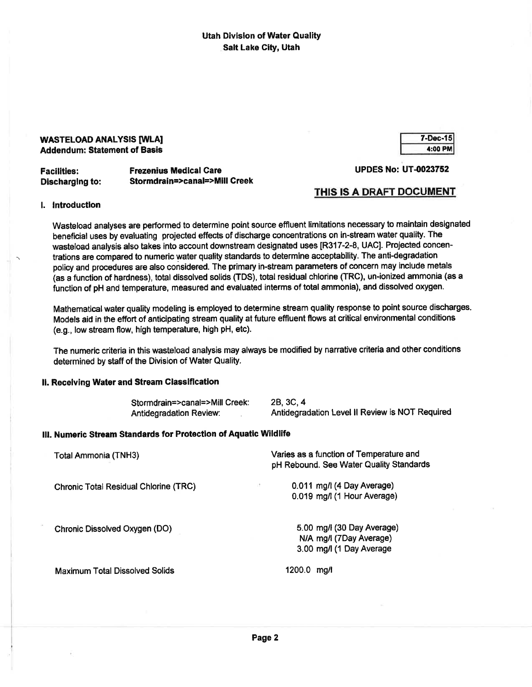#### WASTELOAD ANALYSIS [WLA] Addendum: Statement of Basis

| Facilities:     | <b>Frezenius Medical Care</b> |
|-----------------|-------------------------------|
| Discharging to: | Stormdrain=>canal=>Mill Creek |

7-Dec.15 ¡l:00 PM

**UPDES No: UT-0023752** 

# THIS IS A DRAFT DOCUMENT

#### l. lntroductlon

Wasteload analyses are performed to determine point source effluent limitations necessary to maintain designated beneficial uses by evaluating projected effects of discharge concentrations on in-stream water quality. The wasteload analysis also takes into account downstream designated uses [R317-2-8, UAC]. Projected concentrations are compared to numeric water quality standards to determine acceptability. The anti-degradation policy and procedures are also considered. The primary in-stream parameters of concern may include metals (as a function of hardness), total dissolved solids (TDS), total residual chlorine (TRC), un-ionized ammonia (as a function of pH and temperature, measured and evaluated interms of total ammonia), and dissolved oxygen.

Mathematical water quality modeling is employed to determine stream quality response to point source discharges. Models aid ín the effort of anticipating stream quality at future effluent flows at critical environmental conditions (e.9., low stream flow, high temperature, high pH, etc).

The numeric criteria in this wasteload analysis may always be modified by narrative criteria and other conditions determined by staff of the Division of Water Quality.

#### ll. Recelving Water and Stream Classlflcation

| Stormdrain=>canal=>Mill Creek: | 2B. 3C. 4                                       |
|--------------------------------|-------------------------------------------------|
| <b>Antidegradation Review:</b> | Antidegradation Level II Review is NOT Required |

#### lll. Numeric Stream Standards for Protection of Aquatic Wildlife

| Total Ammonia (TNH3)                  | Varies as a function of Temperature and<br>pH Rebound. See Water Quality Standards |
|---------------------------------------|------------------------------------------------------------------------------------|
| Chronic Total Residual Chlorine (TRC) | 0.011 mg/l (4 Day Average)<br>iit.<br>0.019 mg/l (1 Hour Average)                  |
| Chronic Dissolved Oxygen (DO)         | 5.00 mg/l (30 Day Average)<br>N/A mg/l (7Day Average)<br>3.00 mg/l (1 Day Average  |
| <b>Maximum Total Dissolved Solids</b> | 1200.0 mg/l                                                                        |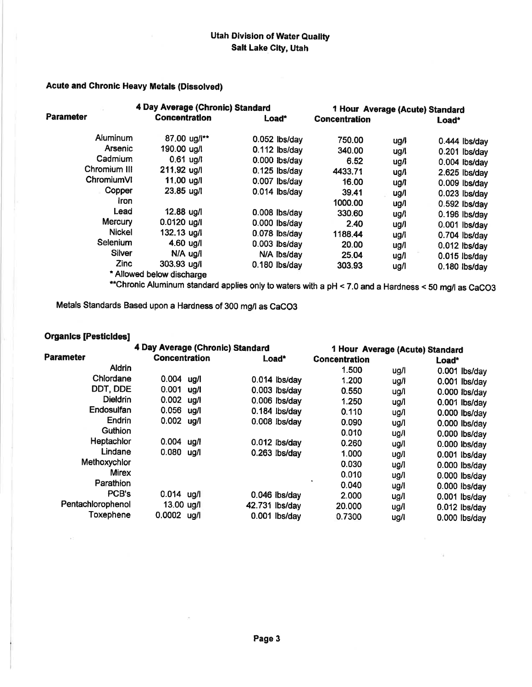# Acute and Chronic Hoavy Metals (Dissolved)

|                  | 4 Day Average (Chronic) Standard | 1 Hour Average (Acute) Standard |                      |      |                 |
|------------------|----------------------------------|---------------------------------|----------------------|------|-----------------|
| <b>Parameter</b> | <b>Concentration</b>             | Load*                           | <b>Concentration</b> |      | Load*           |
| Aluminum         | 87.00 ug/l**                     | $0.052$ lbs/day                 | 750.00               | ug/l | $0.444$ lbs/day |
| Arsenic          | 190.00 ug/l                      | $0.112$ lbs/day                 | 340.00               | ug/l | 0.201 lbs/day   |
| Cadmium          | $0.61$ ug/l                      | $0.000$ lbs/day                 | 6.52                 | ug/l | $0.004$ lbs/day |
| Chromium III     | 211,92 ug/l                      | $0.125$ lbs/day                 | 4433.71              | ug/l | 2.625 lbs/day   |
| ChromiumVI       | 11.00 ug/l                       | 0.007 lbs/day                   | 16.00                | ug/l | $0.009$ lbs/day |
| Copper           | 23.85 ug/l                       | $0.014$ lbs/day                 | 39.41                | ug/l | $0.023$ lbs/day |
| <b>Iron</b>      |                                  |                                 | 1000.00              | ug/l | $0.592$ lbs/day |
| Lead             | $12.88$ ug/l                     | $0.008$ lbs/day                 | 330.60               | ug/l | 0.196 lbs/day   |
| Mercury          | $0.0120$ ug/l                    | $0.000$ lbs/day                 | 2.40                 | ug/l | $0.001$ lbs/day |
| <b>Nickel</b>    | 132.13 ug/l                      | $0.078$ lbs/day                 | 1188.44              | ug/l | $0.704$ lbs/day |
| Selenium         | 4.60 $\mu$ g/l                   | $0.003$ lbs/day                 | 20.00                | ug/l | $0.012$ lbs/day |
| <b>Silver</b>    | $N/A$ ug/l                       | N/A lbs/day                     | 25.04                | ug/l | $0.015$ lbs/day |
| <b>Zinc</b>      | 303.93 ug/l                      | $0.180$ lbs/day                 | 303.93               | ug/l | $0.180$ lbs/day |
|                  | * Allowed below discharge        |                                 |                      |      |                 |

\*\*Chronic Aluminum standard applies only to waters with a pH < 7.0 and a Hardness < S0 mg/l as CaCO3

Metals Standards Based upon a Hardness of 300 mg/l as CaCOS

# **Organics [Pesticides]**

|                   | 4 Day Average (Chronic) Standard |      |                | 1 Hour Average (Acute) Standard |                      |      |                 |  |
|-------------------|----------------------------------|------|----------------|---------------------------------|----------------------|------|-----------------|--|
| Parameter         | <b>Concentration</b>             |      |                | Load*                           | <b>Concentration</b> |      | Load*           |  |
| <b>Aldrin</b>     |                                  |      |                |                                 | 1.500                | ug/l | $0.001$ lbs/day |  |
| Chlordane         | $0.004$ ug/l                     |      |                | $0.014$ lbs/day                 | 1.200                | ug/l | $0.001$ lbs/day |  |
| DDT, DDE          | $0.001$ ug/l                     |      |                | $0.003$ lbs/day                 | 0.550                | ug/l | $0.000$ lbs/day |  |
| <b>Dieldrin</b>   | $0.002$ ug/l                     |      |                | 0.006 lbs/day                   | 1.250                | ug/l | $0.001$ lbs/day |  |
| Endosulfan        | 0.056                            | ug/l |                | $0.184$ lbs/day                 | 0.110                | ug/l | 0.000 lbs/day   |  |
| Endrin            | $0.002$ ug/l                     |      |                | $0.008$ lbs/day                 | 0.090                | ug/l | 0.000 lbs/day   |  |
| Guthion           |                                  |      |                |                                 | 0.010                | ug/l | $0.000$ lbs/day |  |
| Heptachlor        | $0.004$ ug/l                     |      |                | $0.012$ ibs/day                 | 0.260                | ug/l | $0.000$ lbs/day |  |
| Lindane           | $0.080$ ug/l                     |      |                | $0.263$ lbs/day                 | 1.000                | ug/l | 0.001 lbs/day   |  |
| Methoxychlor      |                                  |      |                |                                 | 0.030                | ug/l | $0.000$ lbs/day |  |
| <b>Mirex</b>      |                                  |      |                |                                 | 0.010                | ug/l | $0.000$ lbs/day |  |
| Parathion         |                                  |      |                |                                 | 0.040                | ug/l | $0.000$ lbs/day |  |
| PCB's             | $0.014$ ug/l                     |      |                | $0.046$ lbs/day                 | 2.000                | ug/l | 0.001 lbs/day   |  |
| Pentachlorophenol | 13.00 ug/l                       |      | 42.731 lbs/day |                                 | 20,000               | ug/l | $0.012$ lbs/day |  |
| Toxephene         | $0.0002$ ug/l                    |      |                | 0.001 lbs/day                   | 0.7300               | ug/l | $0.000$ lbs/day |  |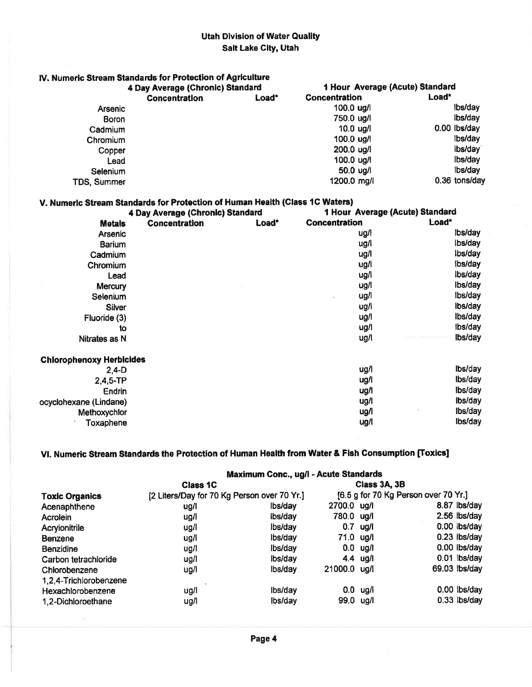# lV. Numeric Stream Standards for Protection of Agriculture

|                    | 4 Day Average (Chronic) Standard |       | 1 Hour Average (Acute) Standard |               |
|--------------------|----------------------------------|-------|---------------------------------|---------------|
|                    | Concentration                    | Load* | <b>Concentration</b>            | Load*         |
| Arsenic            |                                  |       | $100.0 \text{ u}$ g/            | ibs/day       |
| <b>Boron</b>       |                                  |       | 750.0 ug/l                      | lbs/day       |
| Cadmium            |                                  |       | $10.0$ ug/l                     | 0.00 lbs/day  |
| Chromium           |                                  |       | 100.0 ug/l                      | lbs/day       |
| Copper             |                                  |       | 200.0 ug/l                      | lbs/day       |
| Lead               |                                  |       | 100.0 ug/l                      | Ibs/day       |
| Selenium           |                                  |       | 50.0 ug/l                       | lbs/day       |
| <b>TDS, Summer</b> |                                  |       | 1200.0 mg/l                     | 0.36 tons/day |

| V. Numeric Stream Standards for Protection of Human Health (Class 1C Waters) | 4 Day Average (Chronic) Standard |       | 1 Hour Average (Acute) Standard |         |  |  |
|------------------------------------------------------------------------------|----------------------------------|-------|---------------------------------|---------|--|--|
| <b>Metals</b>                                                                | Concentration                    | Load* | Concentration                   | Load*   |  |  |
| Arsenic                                                                      |                                  |       | ug/l                            | lbs/day |  |  |
| <b>Barium</b>                                                                |                                  |       | ug/l                            | Ibs/day |  |  |
| Cadmium                                                                      |                                  |       | ug/l                            | lbs/day |  |  |
| Chromium                                                                     |                                  |       | ug/l                            | lbs/day |  |  |
| Lead                                                                         |                                  |       | ug/l                            | lbs/day |  |  |
| <b>Mercury</b>                                                               |                                  |       | ug/l                            | lbs/day |  |  |
| Selenium                                                                     |                                  |       | ug/l                            | ibs/day |  |  |
| Silver                                                                       |                                  |       | ug/l                            | lbs/day |  |  |
| Fluoride (3)                                                                 |                                  |       | ug/l                            | lbs/day |  |  |
| to                                                                           |                                  |       | ug/l                            | lbs/day |  |  |
| Nitrates as N                                                                |                                  |       | ug/l                            | Ibs/day |  |  |
| <b>Chlorophenoxy Herbicides</b>                                              |                                  |       |                                 |         |  |  |
| $2,4-D$                                                                      |                                  |       | ug/l                            | Ibs/day |  |  |
| $2,4,5-TP$                                                                   |                                  |       | ug/l                            | lbs/day |  |  |
| Endrin                                                                       |                                  |       | ug/l                            | lbs/day |  |  |
| ocyclohexane (Lindane)                                                       |                                  |       | ug/l                            | ibs/day |  |  |
| Methoxychlor                                                                 |                                  |       | ug/l                            | lbs/day |  |  |
| Toxaphene                                                                    |                                  |       | ug/l                            | lbs/day |  |  |

# Vl. Numeric Stream Standards the Protection of Human Health from Water & Fish Gonsumption ffoxicsl

|                        | Maximum Conc., ug/l - Acute Standards       |         |                                      |                    |               |  |
|------------------------|---------------------------------------------|---------|--------------------------------------|--------------------|---------------|--|
| <b>Toxic Organics</b>  | <b>Class 1C</b>                             |         | Class 3A, 3B                         |                    |               |  |
|                        | [2 Liters/Day for 70 Kg Person over 70 Yr.] |         | [6.5 g for 70 Kg Person over 70 Yr.] |                    |               |  |
| Acenaphthene           | ug/l                                        | lbs/day | 2700.0 ug/l                          |                    | 8.87 lbs/day  |  |
| Acrolein               | ug/l                                        | lbs/day | 780.0 ug/l                           |                    | 2.56 lbs/day  |  |
| Acrylonitrile          | ug/l                                        | lbs/day |                                      | $0.7$ ug/l         | 0.00 lbs/day  |  |
| <b>Benzene</b>         | ug/l                                        | lbs/day | 71.0 ug/l                            |                    | 0.23 ibs/day  |  |
| <b>Benzidine</b>       | ug/l                                        | Ibs/day |                                      | $0.0 \text{ u}g/l$ | 0.00 lbs/day  |  |
| Carbon tetrachloride   | ug/l                                        | lbs/day |                                      | 4.4 $\mu$ g/l      | 0.01 lbs/day  |  |
| Chlorobenzene          | ug/l                                        | Ibs/day | 21000.0 ug/l                         |                    | 69.03 lbs/day |  |
| 1,2,4-Trichlorobenzene |                                             |         |                                      |                    |               |  |
| Hexachlorobenzene      | ug/l                                        | Ibs/day |                                      | $0.0 \text{ u}g/l$ | 0.00 lbs/day  |  |
| 1,2-Dichloroethane     | ug/l                                        | lbs/day | 99.0 ug/l                            |                    | 0.33 lbs/day  |  |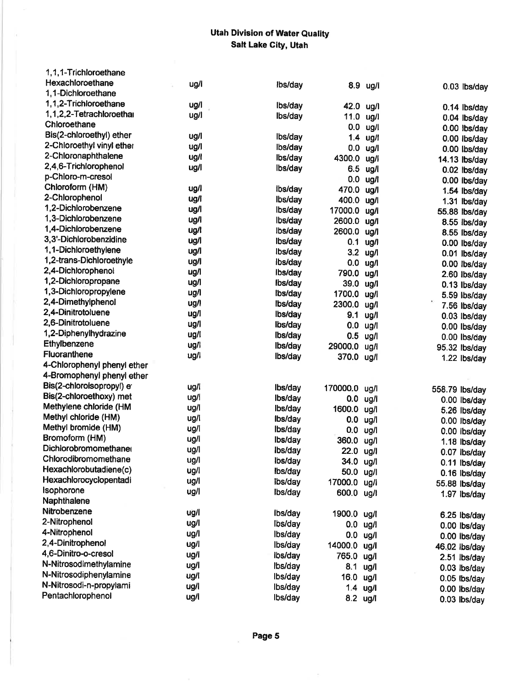| 1,1,1-Trichloroethane       |      |                    |                     |                    |                              |
|-----------------------------|------|--------------------|---------------------|--------------------|------------------------------|
| Hexachloroethane            | ug/l | lbs/day            |                     | 8.9 ug/l           | 0.03 lbs/day                 |
| 1,1-Dichloroethane          |      |                    |                     |                    |                              |
| 1,1,2-Trichloroethane       | ug/l | lbs/day            | 42.0 ug/l           |                    |                              |
| 1,1,2,2-Tetrachloroethal    | ug/l | lbs/day            | 11.0                | ug/l               | 0.14 lbs/day<br>0.04 lbs/day |
| Chloroethane                |      |                    | 0.0                 | ug/l               | 0.00 lbs/day                 |
| Bis(2-chloroethyl) ether    | ug/l | lbs/day            |                     | 1.4 ug/l           |                              |
| 2-Chloroethyl vinyl ether   | ug/l | lbs/day            | 0.0                 | ug/l               | 0.00 lbs/day                 |
| 2-Chloronaphthalene         | ug/l | lbs/day            | 4300.0              | ug/i               | 0.00 lbs/day                 |
| 2,4,6-Trichlorophenol       | ug/l | lbs/day            | 6.5                 | ug/l               | 14.13 lbs/day                |
| p-Chloro-m-cresol           |      |                    | 0.0                 | ug/l               | 0.02 lbs/day                 |
| Chloroform (HM)             | ug/l | lbs/day            | 470.0               | ug/l               | 0.00 lbs/day                 |
| 2-Chlorophenol              | ug/l | Ibs/day            | 400.0               | ug/l               | 1.54 lbs/day                 |
| 1,2-Dichlorobenzene         | ug/l | lbs/day            | 17000.0             |                    | 1.31 lbs/day                 |
| 1,3-Dichlorobenzene         | ug/l | lbs/day            | 2600.0              | ug/l               | 55.88 lbs/day                |
| 1,4-Dichlorobenzene         | ug/l | lbs/day            | 2600.0              | ug/l               | 8.55 lbs/day                 |
| 3,3'-Dichlorobenzidine      | ug/l | lbs/day            | 0.1                 | ug/l               | 8.55 lbs/day                 |
| 1,1-Dichloroethylene        | ug/l | lbs/day            | 3.2                 | ug/l               | 0.00 lbs/day                 |
| 1,2-trans-Dichloroethyle    | ug/i | lbs/day            |                     | ug/l<br>$0.0$ ug/l | 0.01 lbs/day                 |
| 2,4-Dichlorophenol          | ug/l | Ibs/day            |                     |                    | 0.00 lbs/day                 |
| 1,2-Dichloropropane         | ug/l | lbs/day            | 790.0 ug/l          |                    | 2.60 lbs/day                 |
| 1,3-Dichloropropylene       | ug/l | Ibs/day            | 39.0 ug/l<br>1700.0 |                    | 0.13 lbs/day                 |
| 2,4-Dimethylphenol          | ug/l | lbs/day            |                     | ug/l               | 5.59 lbs/day                 |
| 2.4-Dinitrotoluene          | ug/l | lbs/day            | 2300.0 ug/l         |                    | 7.56 lbs/day                 |
| 2,6-Dinitrotoluene          | ug/l | lbs/day            |                     | 9.1 ug/l           | 0.03 lbs/day                 |
| 1,2-Diphenylhydrazine       | ug/l | lbs/day            |                     | $0.0$ ug/l         | 0.00 lbs/day                 |
| Ethylbenzene                | ug/l | lbs/day            |                     | $0.5$ ug/l         | 0.00 lbs/day                 |
| <b>Fluoranthene</b>         | ug/l |                    | 29000.0 ug/l        |                    | 95.32 lbs/day                |
| 4-Chlorophenyl phenyl ether |      | lbs/day            | 370.0 ug/l          |                    | 1.22 lbs/day                 |
| 4-Bromophenyl phenyl ether  |      |                    |                     |                    |                              |
| Bis(2-chloroisopropyl) e    | ug/l | lbs/day            |                     |                    |                              |
| Bis(2-chloroethoxy) met     | ug/i | Ibs/day            | 170000.0 ug/l       |                    | 558.79 lbs/day               |
| Methylene chloride (HM      | ug/l | Ibs/day            | $0.0$ ug/l          |                    | 0.00 lbs/day                 |
| Methyl chloride (HM)        | ug/l | Ibs/day            | 1600.0 ug/l         |                    | 5.26 lbs/day                 |
| Methyl bromide (HM)         | ug/l | lbs/day            | $0.0$ ug/l          |                    | 0.00 lbs/day                 |
| Bromoform (HM)              | ug/l | lbs/day            | 0.0 ug/l            |                    | 0.00 lbs/day                 |
| Dichlorobromomethane        | ug/l | lbs/day            | 360.0 ug/l          |                    | 1.18 lbs/day                 |
| Chlorodibromomethane        | ug/l | lbs/day            | 22.0 ug/l           |                    | 0.07 lbs/day                 |
| Hexachlorobutadiene(c)      | ug/l |                    | 34.0 ug/l           |                    | 0.11 lbs/day                 |
| Hexachlorocyclopentadi      | ug/l | lbs/day<br>lbs/day | 50.0 ug/l           |                    | 0.16 lbs/day                 |
| Isophorone                  | ug/l |                    | 17000.0 ug/l        |                    | 55.88 lbs/day                |
| Naphthalene                 |      | lbs/day            | 600.0 ug/l          |                    | 1.97 lbs/day                 |
| Nitrobenzene                | ug/l |                    |                     |                    |                              |
| 2-Nitrophenol               |      | Ibs/day            | 1900.0 ug/l         |                    | 6.25 lbs/day                 |
| 4-Nitrophenol               | ug/l | Ibs/day            | $0.0$ ug/l          |                    | $0.00$ lbs/day               |
| 2,4-Dinitrophenol           | ug/l | lbs/day            | $0.0$ ug/l          |                    | 0.00 lbs/day                 |
| 4,6-Dinitro-o-cresol        | ug/l | lbs/day            | 14000.0             | ug/l               | 46.02 lbs/day                |
| N-Nitrosodimethylamine      | ug/l | lbs/day            | 765.0               | ug/l               | 2.51 lbs/day                 |
| N-Nitrosodiphenylamine      | ug/l | lbs/day            | 8.1                 | ug/l               | $0.03$ lbs/day               |
| N-Nitrosodi-n-propylami     | ug/l | lbs/day            | 16.0                | ug/l               | $0.05$ lbs/day               |
| Pentachlorophenol           | ug/l | lbs/day            | 1.4 ug/l            |                    | 0.00 lbs/day                 |
|                             | ug/l | lbs/day            | 8.2 ug/l            |                    | $0.03$ lbs/day               |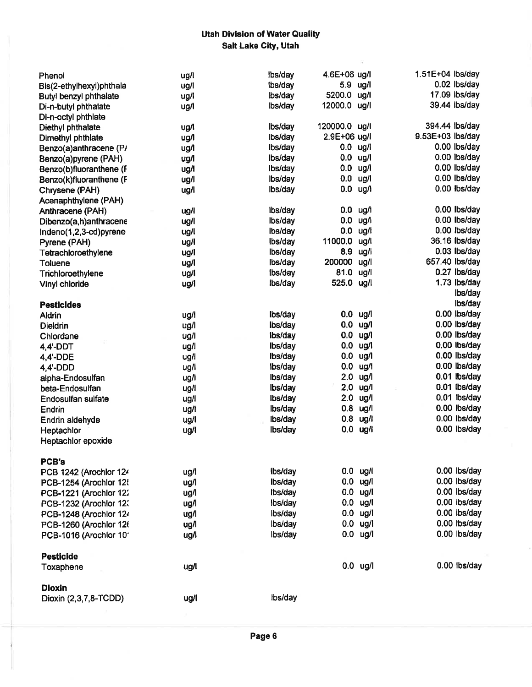| Phenol                           | ug/l | lbs/day | 4.6E+06 ug/l     |                    | 1.51E+04 lbs/day |
|----------------------------------|------|---------|------------------|--------------------|------------------|
| Bis(2-ethylhexyl)phthala         | ug/l | Ibs/day | 5.9 ug/l         |                    | 0.02 lbs/day     |
| Butyl benzyl phthalate           | ug/l | Ibs/day | 5200.0 ug/l      |                    | 17.09 ibs/day    |
| Di-n-butyl phthalate             | ug/l | Ibs/day | 12000.0 ug/l     |                    | 39.44 lbs/day    |
| Di-n-octyl phthlate              |      |         |                  |                    |                  |
| Diethyl phthalate                | ug/l | lbs/day | 120000.0 ug/l    |                    | 394.44 lbs/day   |
| Dimethyl phthlate                | ug/l | Ibs/day | $2.9E + 06$ ug/l |                    | 9.53E+03 lbs/day |
| Benzo(a)anthracene (P/           | ug/l | lbs/day | $0.0$ ug/l       |                    | 0.00 lbs/day     |
| Benzo(a)pyrene (PAH)             | ug/l | lbs/day | $0.0$ ug/l       |                    | 0.00 lbs/day     |
| Benzo(b)fluoranthene (F          | ug/l | lbs/day | $0.0$ ug/l       |                    | 0.00 lbs/day     |
| Benzo(k)fluoranthene (F          | ug/l | lbs/day | $0.0$ ug/l       |                    | 0.00 lbs/day     |
| Chrysene (PAH)                   | ug/l | lbs/day |                  | $0.0$ ug/l         | 0.00 lbs/day     |
| Acenaphthylene (PAH)             |      |         |                  |                    |                  |
| Anthracene (PAH)                 | ug/l | ibs/day |                  | $0.0 \text{ u}g/l$ | 0.00 lbs/day     |
| Dibenzo(a,h)anthracene           | ug/l | lbs/day | 0.0              | ug/l               | 0.00 lbs/day     |
| Indeno(1,2,3-cd)pyrene           | ug/l | Ibs/day | 0.0              | ug/l               | 0.00 lbs/day     |
| Pyrene (PAH)                     | ug/l | lbs/day | 11000.0          | ug/l               | 36.16 lbs/day    |
| Tetrachloroethylene              | ug/l | lbs/day | 8.9              | ug/l               | 0.03 lbs/day     |
| <b>Toluene</b>                   | ug/l | lbs/day | 200000           | ug/l               | 657.40 lbs/day   |
| Trichloroethylene                | ug/l | lbs/day | 81.0             | ug/l               | 0.27 lbs/day     |
| Vinyl chloride                   | ug/l | lbs/day | 525.0 ug/l       |                    | 1.73 lbs/day     |
|                                  |      |         |                  |                    | lbs/day          |
| <b>Pesticides</b>                |      |         |                  |                    | Ibs/day          |
| Aldrin                           | ug/l | lbs/day |                  | $0.0$ ug/l         | 0.00 lbs/day     |
| <b>Dieldrin</b>                  | ug/l | lbs/day | 0.0              | ug/l               | 0.00 lbs/day     |
| Chlordane                        | ug/l | lbs/day |                  | $0.0 \text{ u}g/1$ | 0.00 lbs/day     |
| 4,4'-DDT                         | ug/l | lbs/day |                  | $0.0$ ug/l         | 0.00 lbs/day     |
| 4,4'-DDE                         | ug/l | lbs/day |                  | $0.0$ ug/l         | 0.00 lbs/day     |
| 4,4'-DDD                         | ug/l | lbs/day |                  | $0.0$ ug/l         | 0.00 lbs/day     |
| alpha-Endosulfan                 | ug/l | lbs/day |                  | $2.0$ ug/l         | 0.01 lbs/day     |
| beta-Endosulfan                  | ug/l | lbs/day |                  | $2.0$ ug/l         | 0.01 lbs/day     |
| Endosulfan sulfate               |      | lbs/day |                  | $2.0$ ug/l         | 0.01 lbs/day     |
|                                  | ug/l | lbs/day |                  | $0.8$ ug/l         | 0.00 lbs/day     |
| Endrin                           | ug/l | lbs/day |                  | $0.8$ ug/l         | 0.00 lbs/day     |
| Endrin aldehyde                  | ug/l | Ibs/day |                  | $0.0$ ug/i         | 0.00 lbs/day     |
| Heptachlor<br>Heptachlor epoxide | ug/l |         |                  |                    |                  |
|                                  |      |         |                  |                    |                  |
| <b>PCB's</b>                     |      |         |                  |                    |                  |
| PCB 1242 (Arochlor 124           | ug/l | lbs/day |                  | $0.0$ ug/l         | 0.00 lbs/day     |
| PCB-1254 (Arochlor 12!           | ug/l | lbs/day |                  | $0.0$ ug/l         | 0.00 lbs/day     |
| PCB-1221 (Arochlor 122           | ug/l | Ibs/day |                  | $0.0$ ug/l         | 0.00 lbs/day     |
| PCB-1232 (Arochlor 12:           | ug/l | lbs/day |                  | $0.0$ ug/l         | 0.00 lbs/day     |
| PCB-1248 (Arochlor 124           | ug/l | lbs/day |                  | $0.0$ ug/l         | $0.00$ lbs/day   |
| PCB-1260 (Arochlor 126           | ug/l | lbs/day |                  | $0.0$ ug/l         | 0.00 lbs/day     |
| PCB-1016 (Arochlor 10'           | ug/l | Ibs/day |                  | $0.0$ ug/l         | 0.00 lbs/day     |
|                                  |      |         |                  |                    |                  |
| <b>Pesticide</b>                 |      |         |                  |                    |                  |
| Toxaphene                        | ug/l |         |                  | $0.0$ ug/l         | 0.00 lbs/day     |
|                                  |      |         |                  |                    |                  |
| <b>Dioxin</b>                    |      |         |                  |                    |                  |
| Dioxin (2,3,7,8-TCDD)            | ug/l | lbs/day |                  |                    |                  |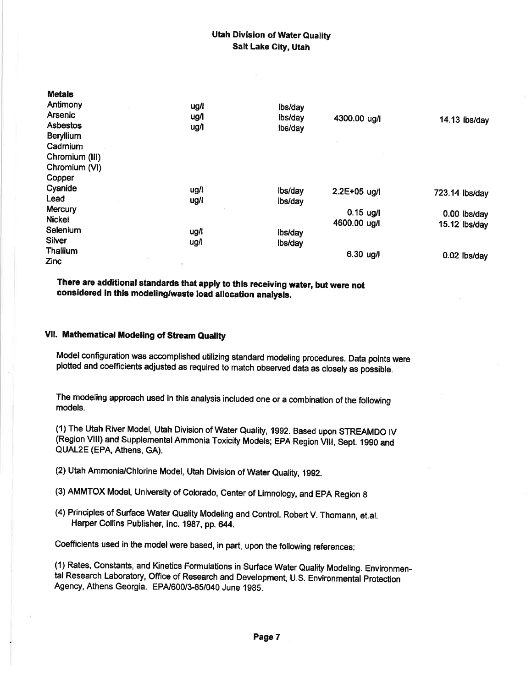|                                                      |                                                                           | 14.13 lbs/day                                                            |
|------------------------------------------------------|---------------------------------------------------------------------------|--------------------------------------------------------------------------|
|                                                      |                                                                           |                                                                          |
|                                                      |                                                                           |                                                                          |
|                                                      |                                                                           |                                                                          |
|                                                      |                                                                           |                                                                          |
|                                                      |                                                                           |                                                                          |
|                                                      |                                                                           |                                                                          |
|                                                      |                                                                           | 723.14 lbs/day                                                           |
|                                                      |                                                                           |                                                                          |
|                                                      |                                                                           | $0.00$ lbs/day                                                           |
|                                                      |                                                                           | 15.12 lbs/day                                                            |
|                                                      |                                                                           |                                                                          |
|                                                      |                                                                           |                                                                          |
|                                                      |                                                                           |                                                                          |
|                                                      |                                                                           | 0.02 lbs/day                                                             |
| ug/l<br>ug/l<br>ug/l<br>ug/l<br>ug/l<br>ug/l<br>ug/l | lbs/day<br>lbs/day<br>lbs/day<br>lbs/day<br>lbs/day<br>lbs/day<br>lbs/day | 4300.00 ug/l<br>2.2E+05 ug/l<br>$0.15$ ug/l<br>4600.00 ug/l<br>6.30 ug/l |

There are additional standards that apply to this receiving water, but were not considered in this modeling/waste load allocation analysis.

# VII. Mathematical Modeling of Stream Quality

Model configuration was accomplished utilizing standard modeling procedures. Data points were plotted and coefficients adjusted as required to match observed data as closely as possible.

The modeling approach used in this analysis included one or a combination of the following models.

(1) The Utah River Model, Utah Division of Water Quality, 1992. Based upon STREAMDO lV (Region Vlll) and SupplementalAmmonia Toxicity Models; EPA Region Vilt, Sept. 1990 and QUAL2E (EPA, Athens, GA).

(2) Utah Ammonia/Chlorine Model, Utah Division of Water Quality, 1992.

- (3) AMMTox Modet, university of colorado, center of Limnology, and EpA Region g
- (4) Principles of Surface Water Quality Modeling and Control. Robert V. Thomann, et.al. Harper Collins Publisher, lnc. 1987, pp. 644.

Coefficients used in the model were based, in part, upon the following references;

(1) Rates, Constants, and Kinetics Formulations in Surface Water Quality Modeling. Environmental Research Laboratory, Office of Research and Development, U.S. Environmental Protection Agency, Athens Georgia. EPA/600/3-85/040 June 1985.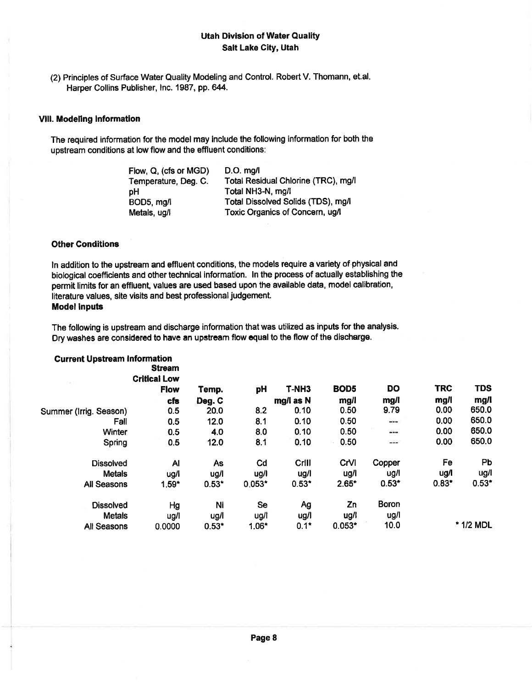(2) Principles of Surface Water Quality Modeling and Control. Robert V. Thomann, et.al. Harper Collins Publisher, lnc. 1987, pp. 644.

#### Vlll. Modellng lnformation

The required information for the model may include the following information for both the upstream conditions at low flow and the effluent conditions:

| $D.O.$ ma/l                         |
|-------------------------------------|
| Total Residual Chlorine (TRC), mg/l |
| Total NH3-N, mg/l                   |
| Total Dissolved Solids (TDS), mg/l  |
| Toxic Organics of Concern, ug/l     |
|                                     |

#### Other Gonditions

ln addition to the upstream and effluent conditions, the models require a variety of physical and biological coefficients and other technical information. In the process of actually establishing the permit limits for an effluent, values are used based upon the available data, model calibration, literature values, site visits and best professional judgement. **Model Inputs** 

The following is upstream and discharge information that was utilized as inputs for the analysis. Dry washes are considered to have an upstream flow equal to the flow of the discharge.

| <b>Current Upstream Information</b> | <b>Stream</b><br><b>Critical Low</b> |         |                |           |                  |              |            |            |
|-------------------------------------|--------------------------------------|---------|----------------|-----------|------------------|--------------|------------|------------|
|                                     | <b>Flow</b>                          | Temp.   | pH             | T-NH3     | BOD <sub>5</sub> | DO           | <b>TRC</b> | <b>TDS</b> |
|                                     | cfs                                  | Deg. C  |                | mg/l as N | mg/l             | mg/l         | mg/l       | mg/l       |
| Summer (Irrig. Season)              | 0.5                                  | 20.0    | 8.2            | 0.10      | 0.50             | 9.79         | 0.00       | 650.0      |
| Fall                                | 0.5                                  | 12.0    | 8.1            | 0.10      | 0.50             | ---          | 0.00       | 650.0      |
| Winter                              | 0.5                                  | 4.0     | 8.0            | 0.10      | 0.50             | ---          | 0.00       | 650.0      |
| Spring                              | 0.5                                  | 12.0    | 8.1            | 0.10      | 0.50             | $\cdots$     | 0.00       | 650.0      |
| <b>Dissolved</b>                    | Al                                   | As      | C <sub>d</sub> | Crill     | CrVI             | Copper       | Fe         | Pb         |
| <b>Metals</b>                       | ug/l                                 | ug/l    | ug/l           | ug/l      | ug/i             | ug/l         | ug/l       | ug/l       |
| <b>All Seasons</b>                  | $1.59*$                              | $0.53*$ | $0.053*$       | $0.53*$   | $2.65*$          | $0.53*$      | $0.83*$    | $0.53*$    |
| <b>Dissolved</b>                    | Hg                                   | Ni      | <b>Se</b>      | Ag        | Zn               | <b>Boron</b> |            |            |
| <b>Metals</b>                       | ug/l                                 | ug/l    | ug/l           | ug/l      | ug/l             | ug/l         |            |            |
| All Seasons                         | 0.0000                               | $0.53*$ | 1.06*          | $0.1*$    | $0.053*$         | 10.0         |            | * 1/2 MDL  |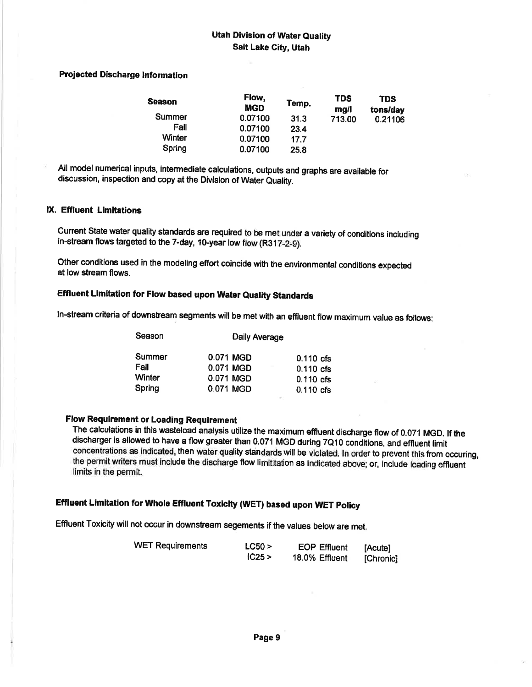# Projected Discharge lnformaüon

| <b>Season</b> | Flow,<br><b>MGD</b> | Temp. | <b>TDS</b><br>mg/l | TDS<br>tons/day |
|---------------|---------------------|-------|--------------------|-----------------|
| Summer        | 0.07100             | 31.3  | 713.00             | 0.21106         |
| Fall          | 0.07100             | 23.4  |                    |                 |
| Winter        | 0.07100             | 17.7  |                    |                 |
| Spring        | 0.07100             | 25.8  |                    |                 |

All model numerical inputs, intermediate calculations, outputs and graphs are available for discussion, inspection and copy at the Division of Water Quality.

#### IX. Effluent Limitations

Current State water quality standards are required to be met under a variety of conditions including in-stream flows targeted to the 7-day, 10-year low flow (R317-2-9).

Other conditíons used in the modeling effort coincide with the environmental conditions expected at low stream flows.

# Effluent Limitation for Flow based upon Water Quality Standards

ln-stream criteria of downstream segments will be met with an effluent flow maximum value as follows:

| Season         | Daily Average          |                            |
|----------------|------------------------|----------------------------|
| Summer<br>Fall | 0.071 MGD              | $0.110$ cfs                |
| Winter         | 0.071 MGD<br>0.071 MGD | $0.110$ cfs<br>$0.110$ cfs |
| Spring         | 0.071 MGD              | 0.110 cfs                  |

### Flow Requirement or Loading Requlrement

The calculations in this wasteload analysis utilize the maximum effluent discharge flow of 0.071 MGD. If the discharger is allowed to have a flow greater than 0.071 MGD during 7Q10 conditions, and effluent limit concentrations as indicated, then water quality standards will be violated. In order to prevent this from occuring, the permit writers must include the discharge flow limititation as indicated above; or, include loading effluent limits in the permit.

# Effluent Limitation for Whole Effluent Toxicity (WET) based upon WET Policy

Effluent Toxicity will not occur in downsteam segements if the values below are met.

| <b>WET Requirements</b> | LC50 ><br>IC25 > | <b>EOP Effluent</b><br>18.0% Effluent | [Acute]   |
|-------------------------|------------------|---------------------------------------|-----------|
|                         |                  |                                       | [Chronic] |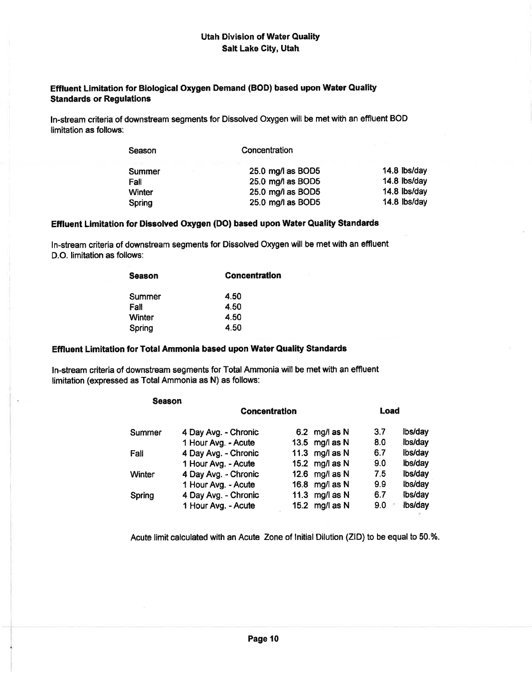#### Effluent Limitation for Biological Oxygen Demand (BOD) based upon Water Quality Standards or Regulatlons

Season Concentration

ln-stream criteria of downstream segments for Dissolved Oxygen will be met with an effluent BOD limitation as follows:

| Summer | 25.0 mg/l as BOD5 | 14.8 lbs/day |
|--------|-------------------|--------------|
| Fall   | 25.0 mg/l as BOD5 | 14.8 lbs/day |
| Winter | 25.0 mg/l as BOD5 | 14.8 lbs/day |
| Spring | 25.0 mg/l as BOD5 | 14.8 lbs/day |

#### Effluent Limitation for Dissolved Oxygen (DO) based upon Water Quality Standards

ln-stream criteria of downstream segments for Dissolved Oxygen will be met with an effluent D.O. limitation as follows:

| <b>Season</b> | Concentration |
|---------------|---------------|
| Summer        | 4.50          |
| Fall          | 4.50          |
| <b>Winter</b> | 4.50          |
| Spring        | 4.50          |

### Effluent Limitation for Total Ammonia based upon Water Quality Standards

In-stream criteria of downstream segments for Total Ammonia will be met with an effluent limitation (expressed as Total Ammonia as N) as follows:

| <b>Season</b>        |                  |                |  |
|----------------------|------------------|----------------|--|
| <b>Concentration</b> |                  |                |  |
| 4 Day Avg. - Chronic | 6.2 mg/l as N    | lbs/day<br>3.7 |  |
| 1 Hour Avg. - Acute  | 13.5 mg/l as N   | lbs/day<br>8.0 |  |
| 4 Day Avg. - Chronic | 11.3 $mg/l$ as N | lbs/day<br>6.7 |  |
| 1 Hour Avg. - Acute  | 15.2 $mg/l$ as N | lbs/day<br>9.0 |  |
| 4 Day Avg. - Chronic | 12.6 mg/l as N   | lbs/day<br>7.5 |  |
| 1 Hour Avg. - Acute  | 16.8 mg/l as N   | lbs/day<br>9.9 |  |
| 4 Day Avg. - Chronic | 11.3 mg/l as N   | lbs/day<br>6.7 |  |
| 1 Hour Avg. - Acute  | 15.2 mg/l as N   | lbs/day<br>9.0 |  |
|                      |                  |                |  |

Acute limit calculated with an Acute Zone of lnitial Dilution (ZlD) to be equal to 50.%.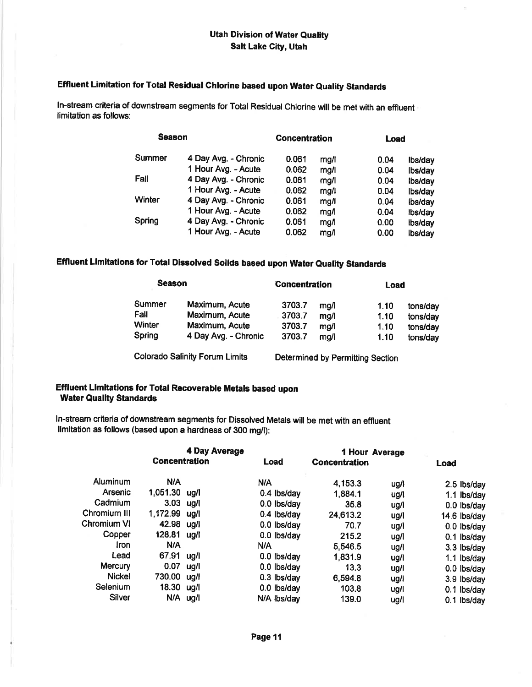# Effluent Limitation for Total Residual Ghlorine based upon Water Quality Standards

In-stream criteria of downstream segments for Total Residual Chlorine will be met with an effluent limitation as follows:

| Season |                      | <b>Concentration</b> |      | Load |         |
|--------|----------------------|----------------------|------|------|---------|
| Summer | 4 Day Avg. - Chronic | 0.061                | mg/t | 0.04 | lbs/day |
|        | 1 Hour Avg. - Acute  | 0.062                | mg/l | 0.04 | lbs/day |
| Fall   | 4 Day Avg. - Chronic | 0.061                | mg/l | 0.04 | Ibs/day |
|        | 1 Hour Avg. - Acute  | 0.062                | mg/l | 0.04 | Ibs/day |
| Winter | 4 Day Avg. - Chronic | 0.061                | mg/l | 0.04 | Ibs/day |
|        | 1 Hour Avg. - Acute  | 0.062                | mg/l | 0.04 | ibs/day |
| Spring | 4 Day Avg. - Chronic | 0.061                | mg/l | 0.00 | Ibs/day |
|        | 1 Hour Avg. - Acute  | 0.062                | mg/l | 0.00 | Ibs/day |

# Effluent Llmitations for Total Dlssolved Solids based upon Water Quatity Standards

| <b>Season</b> |                                       | Concentration |      |                                  | Load     |  |
|---------------|---------------------------------------|---------------|------|----------------------------------|----------|--|
| Summer        | Maximum, Acute                        | 3703.7        | mg/l | 1.10                             | tons/day |  |
| Fall          | Maximum, Acute                        | 3703.7        | mg/l | 1.10                             | tons/day |  |
| Winter        | Maximum, Acute                        | 3703.7        | mg/l | 1.10                             | tons/day |  |
| Spring        | 4 Day Avg. - Chronic                  | 3703.7        | mg/l | 1.10                             | tons/day |  |
|               | <b>Colorado Salinity Forum Limits</b> |               |      | Determined by Permitting Section |          |  |

#### Effluent Llmltations for Total Recoverable Metals based upon **Water Quality Standards**

ln-stream criteria of downstream segments for Dissolved Metals will be met with an effluent llmitation as follows (based upon a hardness of 300 mg/l):

|                 |                      | 4 Day Average |               | 1 Hour Average       |      |      |              |
|-----------------|----------------------|---------------|---------------|----------------------|------|------|--------------|
|                 | <b>Concentration</b> |               | Load          | <b>Concentration</b> |      | Load |              |
| <b>Aluminum</b> | N/A                  |               | N/A           | 4,153.3              | ug/l |      | 2.5 lbs/day  |
| Arsenic         | 1,051.30             | ua/l          | 0.4 lbs/day   | 1,884.1              | ug/l |      | 1.1 lbs/day  |
| Cadmium         | $3.03$ ug/l          |               | 0.0 lbs/day   | 35.8                 | ug/l |      | 0.0 lbs/day  |
| Chromium III    | 1,172.99             | ua/l          | 0.4 lbs/day   | 24,613.2             | ug/l |      | 14.6 lbs/day |
| Chromium VI     | 42.98                | ug/l          | 0.0 lbs/day   | 70.7                 | ug/l |      | 0.0 lbs/day  |
| Copper          | 128.81               | ug/i          | 0.0 lbs/day   | 215.2                | ug/l |      | 0.1 lbs/day  |
| <b>Iron</b>     | N/A                  |               | N/A           | 5,546.5              | ug/l |      | 3.3 lbs/day  |
| Lead            | 67.91                | ua/l          | 0.0 lbs/day   | 1,831.9              | ug/l |      | 1.1 lbs/day  |
| Mercury         | $0.07$ ug/l          |               | $0.0$ lbs/day | 13.3                 | ug/l |      | 0.0 lbs/day  |
| <b>Nickel</b>   | 730.00               | ug/l          | $0.3$ lbs/day | 6,594.8              | uq/l |      | 3.9 lbs/day  |
| Selenium        | 18.30 ug/l           |               | 0.0 lbs/day   | 103.8                | ug/l |      | 0.1 lbs/day  |
| Silver          | N/A ug/l             |               | N/A lbs/day   | 139.0                | ug/l |      | 0.1 lbs/day  |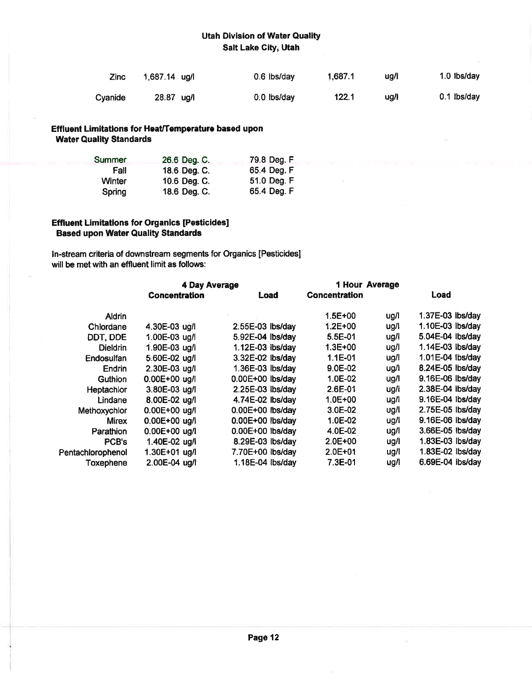| Zinc    | 1,687.14 ug/l | 0.6 lbs/day | 1.687.1 | ua/l | $1.0$ lbs/day |
|---------|---------------|-------------|---------|------|---------------|
| Cyanide | 28.87 ug/l    | 0.0 lbs/day | 122.1   | ua/I | 0.1 lbs/day   |

### Effluent Limitations for Heat/Temperature based upon Water Quality Standards

| Summer | 26.6 Deg. C. | 79.8 Deg. F |
|--------|--------------|-------------|
| Fall   | 18.6 Deg. C. | 65.4 Deg. F |
| Winter | 10.6 Deg. C. | 51.0 Deg. F |
| Spring | 18.6 Deg. C. | 65.4 Deg. F |

### Effluent Limitatlons for Organlcs [Pesticidesl Based upon Water Quality Standards

ln-stream criteria of downstream segments for Organics [Pesticidesl will be met with an effluent limit as follows:

|                   | 4 Day Average     | 1 Hour Average     |                      |      |                    |
|-------------------|-------------------|--------------------|----------------------|------|--------------------|
|                   | Concentration     | Load               | <b>Concentration</b> |      | Load               |
| <b>Aldrin</b>     |                   |                    | $1.5E + 00$          | ug/l | $1.37E-03$ lbs/day |
| Chlordane         | 4.30E-03 ug/l     | 2.55E-03 lbs/day   | $1.2E + 00$          | ug/l | 1.10E-03 lbs/day   |
| DDT, DDE          | 1.00E-03 ug/l     | 5.92E-04 lbs/day   | 5.5E-01              | ug/l | 5.04E-04 lbs/day   |
| <b>Dieldrin</b>   | 1.90E-03 ug/l     | 1.12E-03 lbs/day   | $1.3E + 00$          | ug/l | 1.14E-03 lbs/day   |
| Endosulfan        | 5.60E-02 ug/l     | 3.32E-02 lbs/day   | $1.1E-01$            | ug/l | 1.01E-04 lbs/day   |
| Endrin            | 2.30E-03 ug/l     | 1.36E-03 lbs/day   | 9.0E-02              | ug/l | 8.24E-05 lbs/day   |
| <b>Guthion</b>    | 0.00E+00 ug/l     | $0.00E+00$ lbs/day | 1.0E-02              | ug/l | 9.16E-06 lbs/day   |
| Heptachlor        | 3.80E-03 ug/l     | 2.25E-03 lbs/day   | 2.6E-01              | ug/l | 2.38E-04 lbs/day   |
| Lindane           | 8.00E-02 ug/l     | 4.74E-02 lbs/day   | $1.0E + 00$          | ug/l | 9.16E-04 lbs/day   |
| Methoxychlor      | 0.00E+00 ug/l     | 0.00E+00 lbs/day   | 3.0E-02              | ug/l | 2.75E-05 lbs/day   |
| <b>Mirex</b>      | $0.00E + 00$ ug/l | 0.00E+00 lbs/day   | 1.0E-02              | ug/l | 9.16E-06 lbs/day   |
| Parathion         | $0.00E + 00$ ug/l | $0.00E+00$ lbs/day | 4.0E-02              | ug/l | 3.66E-05 lbs/day   |
| <b>PCB's</b>      | 1.40E-02 ug/i     | 8.29E-03 lbs/day   | 2.0E+00              | ug/l | 1.83E-03 lbs/day   |
| Pentachlorophenol | $1.30E+01$ ug/l   | 7.70E+00 lbs/day   | $2.0E + 01$          | ug/l | 1.83E-02 lbs/day   |
| Toxephene         | 2.00E-04 ug/l     | 1.18E-04 lbs/day   | 7.3E-01              | ug/l | 6.69E-04 lbs/day   |
|                   |                   |                    |                      |      |                    |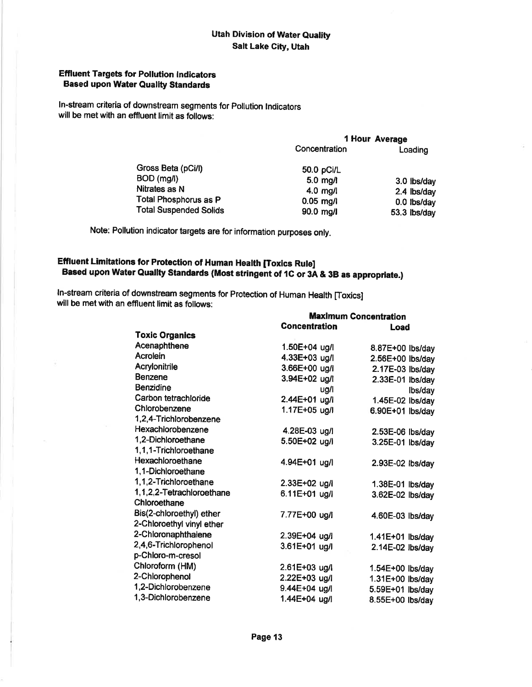#### **Effluent Targets for Pollution Indicators Based upon Water Quality Standards**

In-stream criteria of downstream segments for Pollution Indicators will be met with an effluent limit as follows:

|                               | 1 Hour Average |              |  |
|-------------------------------|----------------|--------------|--|
|                               | Concentration  | Loading      |  |
| Gross Beta (pCi/l)            | 50.0 pCi/L     |              |  |
| BOD (mg/l)                    | $5.0$ mg/l     | 3.0 lbs/day  |  |
| Nitrates as N                 | 4.0 $mg/l$     | 2.4 lbs/day  |  |
| Total Phosphorus as P         | $0.05$ mg/l    | 0.0 lbs/day  |  |
| <b>Total Suspended Solids</b> | 90.0 mg/l      | 53.3 ibs/day |  |

 $\mathbf{B} = \mathbf{B} + \mathbf{B}$ 

 $\sim$ 

 $\sim$  $\overline{a}$ 

Note: Pollution indicator targets are for information purposes only.

# Effluent Limitations for Protection of Human Health [Toxics Rule] Based upon Water Quality Standards (Most stringent of 1C or 3A & 3B as appropriate.)

In-stream criteria of downstream segments for Protection of Human Health [Toxics] will be met with an effluent limit as follows:

|                           |                      | <b>Maximum Concentration</b> |
|---------------------------|----------------------|------------------------------|
|                           | <b>Concentration</b> | Load                         |
| <b>Toxic Organics</b>     |                      |                              |
| Acenaphthene              | 1.50E+04 ug/l        | 8.87E+00 lbs/day             |
| Acrolein                  | 4.33E+03 ug/l        | 2.56E+00 lbs/day             |
| Acrylonitrile             | 3.66E+00 ug/l        | 2.17E-03 lbs/day             |
| <b>Benzene</b>            | 3.94E+02 ug/l        | 2.33E-01 lbs/day             |
| <b>Benzidine</b>          | ug/l                 | Ibs/day                      |
| Carbon tetrachloride      | 2.44E+01 ug/l        | 1.45E-02 lbs/day             |
| Chlorobenzene             | 1.17E+05 ug/l        | 6.90E+01 lbs/day             |
| 1,2,4-Trichlorobenzene    |                      |                              |
| Hexachlorobenzene         | 4.28E-03 ug/l        | 2.53E-06 lbs/day             |
| 1,2-Dichloroethane        | 5.50E+02 ug/l        | 3.25E-01 lbs/day             |
| 1,1,1-Trichloroethane     |                      |                              |
| Hexachloroethane          | 4.94E+01 ug/l        | 2.93E-02 ibs/day             |
| 1,1-Dichloroethane        |                      |                              |
| 1,1,2-Trichloroethane     | 2.33E+02 ug/l        | 1.38E-01 lbs/day             |
| 1,1,2,2-Tetrachloroethane | $6.11E + 01$ ug/     | 3.62E-02 lbs/day             |
| Chloroethane              |                      |                              |
| Bis(2-chloroethyl) ether  | 7.77E+00 ug/i        | 4.60E-03 lbs/day             |
| 2-Chloroethyl vinyl ether |                      |                              |
| 2-Chloronaphthalene       | 2.39E+04 ug/l        | $1.41E+01$ lbs/day           |
| 2,4,6-Trichlorophenol     | 3.61E+01 ug/l        | $2.14E-02$ lbs/day           |
| p-Chloro-m-cresol         |                      |                              |
| Chloroform (HM)           | 2.61E+03 ug/l        | 1.54E+00 lbs/day             |
| 2-Chlorophenol            | 2.22E+03 ug/l        | 1.31E+00 lbs/day             |
| 1,2-Dichlorobenzene       | 9.44E+04 ug/l        | 5.59E+01 lbs/day             |
| 1,3-Dichlorobenzene       | 1.44E+04 ug/l        | 8.55E+00 lbs/day             |
|                           |                      |                              |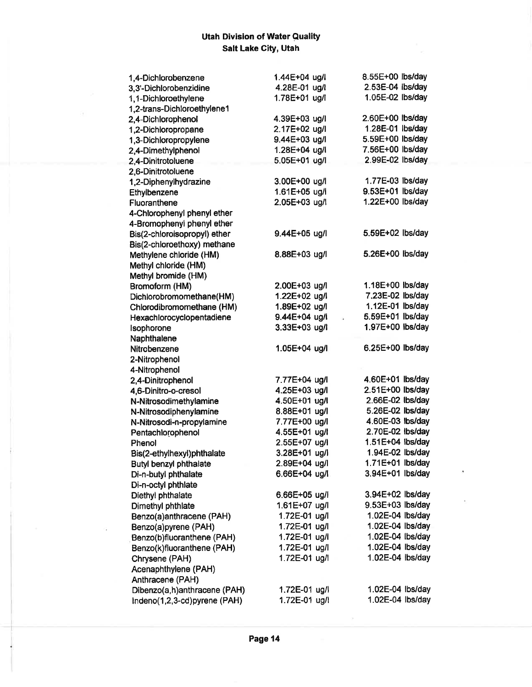á.

| 1,4-Dichlorobenzene          | 1.44E+04 ug/l       | 8.55E+00 lbs/day   |
|------------------------------|---------------------|--------------------|
| 3,3'-Dichlorobenzidine       | 4.28E-01 ug/l       | 2.53E-04 lbs/day   |
| 1,1-Dichloroethylene         | 1.78E+01 ug/l       | 1.05E-02 lbs/day   |
| 1,2-trans-Dichloroethylene1  |                     |                    |
| 2,4-Dichlorophenol           | 4.39E+03 ug/l       | 2.60E+00 lbs/day   |
| 1,2-Dichloropropane          | 2.17E+02 ug/l       | 1.28E-01 lbs/day   |
| 1,3-Dichloropropylene        | 9.44E+03 ug/l       | 5.59E+00 lbs/day   |
| 2,4-Dimethylphenol           | 1.28E+04 ug/l       | 7.56E+00 lbs/day   |
| 2,4-Dinitrotoluene           | 5.05E+01 ug/l       | 2.99E-02 lbs/day   |
| 2,6-Dinitrotoluene           |                     |                    |
| 1,2-Diphenylhydrazine        | 3.00E+00 ug/l       | 1.77E-03 lbs/day   |
| Ethylbenzene                 | 1.61E+05 ug/l       | 9.53E+01 lbs/day   |
| Fluoranthene                 | 2.05E+03 ug/l       | 1.22E+00 lbs/day   |
| 4-Chlorophenyl phenyl ether  |                     |                    |
| 4-Bromophenyl phenyl ether   |                     |                    |
| Bis(2-chloroisopropyl) ether | 9.44E+05 ug/l       | 5.59E+02 lbs/day   |
| Bis(2-chloroethoxy) methane  |                     |                    |
| Methylene chloride (HM)      | 8.88E+03 ug/l       | 5.26E+00 lbs/day   |
| Methyl chloride (HM)         |                     |                    |
| Methyl bromide (HM)          |                     |                    |
| Bromoform (HM)               | 2.00E+03 ug/l       | 1.18E+00 lbs/day   |
| Dichlorobromomethane(HM)     | 1.22E+02 ug/l       | 7.23E-02 lbs/day   |
| Chlorodibromomethane (HM)    | 1.89E+02 ug/l       | 1.12E-01 lbs/day   |
| Hexachlorocyclopentadiene    | 9.44E+04 ug/l<br>j, | 5.59E+01 lbs/day   |
| Isophorone                   | 3.33E+03 ug/l       | 1.97E+00 lbs/day   |
| Naphthalene                  |                     |                    |
| Nitrobenzene                 | 1.05E+04 ug/l       | 6.25E+00 lbs/day   |
| 2-Nitrophenol                |                     |                    |
| 4-Nitrophenol                |                     |                    |
| 2,4-Dinitrophenol            | 7.77E+04 ug/l       | 4.60E+01 lbs/day   |
| 4,6-Dinitro-o-cresol         | 4.25E+03 ug/l       | 2.51E+00 lbs/day   |
| N-Nitrosodimethylamine       | 4.50E+01 ug/l       | 2.66E-02 lbs/day   |
| N-Nitrosodiphenylamine       | 8.88E+01 ug/l       | 5.26E-02 lbs/day   |
| N-Nitrosodi-n-propylamine    | 7.77E+00 ug/l       | 4.60E-03 lbs/day   |
| Pentachlorophenol            | 4.55E+01 ug/l       | 2.70E-02 lbs/day   |
| Phenol                       | 2.55E+07 ug/l       | $1.51E+04$ lbs/day |
| Bis(2-ethylhexyl)phthalate   | 3.28E+01 ug/l       | 1.94E-02 lbs/day   |
| Butyl benzyl phthalate       | 2.89E+04 ug/l       | $1.71E+01$ lbs/day |
| Di-n-butyl phthalate         | $6.66E + 04$ ug/l.  | 3.94E+01 lbs/day   |
| Di-n-octyl phthlate          |                     |                    |
| Diethyl phthalate            | 6.66E+05 ug/l       | 3.94E+02 lbs/day   |
|                              | 1.61E+07 ug/l       | 9.53E+03 lbs/day   |
| Dimethyl phthlate            | 1.72E-01 ug/l       | 1.02E-04 lbs/day   |
| Benzo(a)anthracene (PAH)     | 1.72E-01 ug/l       | 1.02E-04 lbs/day   |
| Benzo(a)pyrene (PAH)         |                     | 1.02E-04 lbs/day   |
| Benzo(b)fluoranthene (PAH)   | 1.72E-01 ug/l       | 1.02E-04 lbs/day   |
| Benzo(k)fluoranthene (PAH)   | 1.72E-01 ug/l       |                    |
| Chrysene (PAH)               | 1.72E-01 ug/l       | 1.02E-04 lbs/day   |
| Acenaphthylene (PAH)         |                     |                    |
| Anthracene (PAH)             |                     |                    |
| Dibenzo(a,h)anthracene (PAH) | 1.72E-01 ug/l       | 1.02E-04 lbs/day   |
| Indeno(1,2,3-cd)pyrene (PAH) | 1.72E-01 ug/l       | 1.02E-04 lbs/day   |

 $\gamma$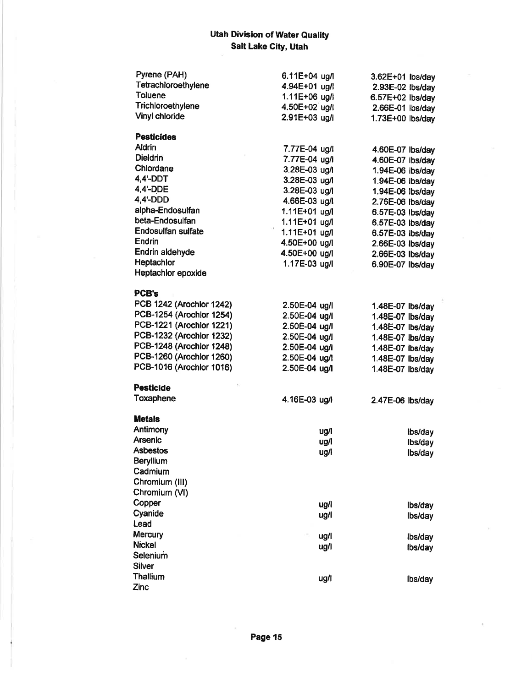| Pyrene (PAH)             | 6.11E+04 ug/l | 3.62E+01 lbs/day                     |
|--------------------------|---------------|--------------------------------------|
| Tetrachloroethylene      | 4.94E+01 ug/l | 2.93E-02 lbs/day                     |
| Toluene                  | 1.11E+06 ug/l | 6.57E+02 lbs/day                     |
| Trichloroethylene        | 4.50E+02 ug/l | 2.66E-01 lbs/day                     |
| <b>Vinyl chloride</b>    | 2.91E+03 ug/l | 1.73E+00 lbs/day                     |
| <b>Pesticides</b>        |               |                                      |
| Aldrin                   | 7.77E-04 ug/l |                                      |
| <b>Dieldrin</b>          | 7.77E-04 ug/l | 4.60E-07 lbs/day<br>4.60E-07 lbs/day |
| Chlordane                | 3.28E-03 ug/l | 1.94E-06 lbs/day                     |
| $4.4'$ -DDT              | 3.28E-03 ug/l | 1.94E-06 lbs/day                     |
| 4,4'-DDE                 | 3.28E-03 ug/l | 1.94E-06 lbs/day                     |
| 4,4'-DDD                 | 4.66E-03 ug/l | 2.76E-06 lbs/day                     |
| alpha-Endosulfan         | 1.11E+01 ug/l | 6.57E-03 lbs/day                     |
| beta-Endosulfan          | 1.11E+01 ug/l | 6.57E-03 lbs/day                     |
| Endosulfan sulfate       | 1.11E+01 ug/l | 6.57E-03 lbs/day                     |
| Endrin                   | 4.50E+00 ug/l | 2.66E-03 lbs/day                     |
| Endrin aldehyde          | 4.50E+00 ug/l | $2.66E-03$ lbs/day                   |
| Heptachlor               | 1.17E-03 ug/l | 6.90E-07 lbs/day                     |
| Heptachlor epoxide       |               |                                      |
| PCB's                    |               |                                      |
|                          |               |                                      |
| PCB 1242 (Arochlor 1242) | 2.50E-04 ug/l | 1.48E-07 lbs/day                     |
| PCB-1254 (Arochlor 1254) | 2.50E-04 ug/l | 1.48E-07 lbs/day                     |
| PCB-1221 (Arochlor 1221) | 2.50E-04 ug/l | 1.48E-07 lbs/day                     |
| PCB-1232 (Arochlor 1232) | 2.50E-04 ug/l | 1.48E-07 lbs/day                     |
| PCB-1248 (Arochlor 1248) | 2.50E-04 ug/l | 1.48E-07 lbs/day                     |
| PCB-1260 (Arochlor 1260) | 2.50E-04 ug/l | 1.48E-07 lbs/day                     |
| PCB-1016 (Arochlor 1016) | 2.50E-04 ug/l | 1.48E-07 lbs/day                     |
| <b>Pesticide</b>         |               |                                      |
| Toxaphene                | 4.16E-03 ug/l | 2.47E-06 lbs/day                     |
| <b>Metals</b>            |               |                                      |
| Antimony                 | ug/l          | lbs/day                              |
| Arsenic                  | ug/l          | Ibs/day                              |
| Asbestos                 | ug/l          | lbs/day                              |
| <b>Beryllium</b>         |               |                                      |
| Cadmium                  |               |                                      |
| Chromium (III)           |               |                                      |
| Chromium (VI)            |               |                                      |
| Copper                   | ug/l          | lbs/day                              |
| Cyanide                  | ug/l          | Ibs/day                              |
| Lead                     |               |                                      |
| Mercury                  | ug/l          | Ibs/day                              |
| <b>Nickel</b>            | ug/l          | Ibs/day                              |
| Selenium                 |               |                                      |
| Silver                   |               |                                      |
| Thallium                 | ug/l          | lbs/day                              |
| Zinc                     |               |                                      |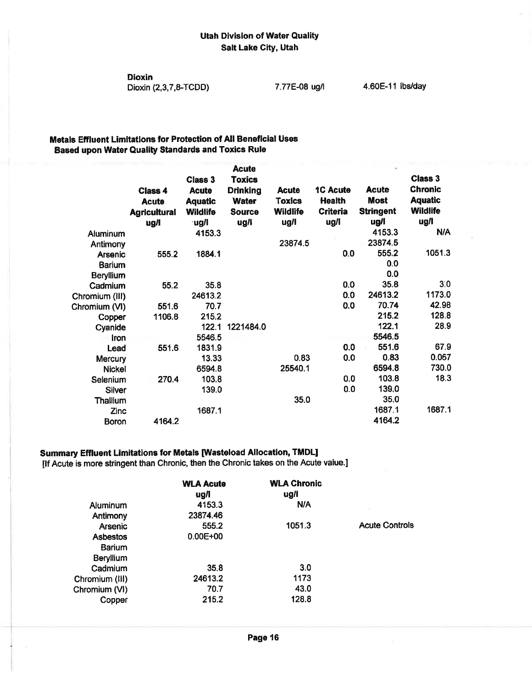**Dioxin** 

Dioxin (2,3,7,8-TCDD)

7.77E-08 ug/l

4.60E-11 lbs/day

### Metals Effluent Limitations for Protection of All Beneficial Uses **Based upon Water Quality Standards and Toxics Rule**

|                  |                                                               |                                                                       | <b>Acute</b>                                                              |                                                          |                                                             |                                                         |                                                                               |
|------------------|---------------------------------------------------------------|-----------------------------------------------------------------------|---------------------------------------------------------------------------|----------------------------------------------------------|-------------------------------------------------------------|---------------------------------------------------------|-------------------------------------------------------------------------------|
|                  | <b>Class 4</b><br><b>Acute</b><br><b>Agricultural</b><br>ug/l | Class 3<br><b>Acute</b><br><b>Aquatic</b><br><b>Wildlife</b><br>·ug/l | <b>Toxics</b><br><b>Drinking</b><br><b>Water</b><br><b>Source</b><br>ug/i | <b>Acute</b><br><b>Toxics</b><br><b>Wildlife</b><br>ug/l | <b>1C Acute</b><br><b>Health</b><br><b>Criteria</b><br>ug/l | <b>Acute</b><br><b>Most</b><br><b>Stringent</b><br>ug/l | <b>Class 3</b><br><b>Chronic</b><br><b>Aquatic</b><br><b>Wildlife</b><br>ug/l |
| Aluminum         |                                                               | 4153.3                                                                |                                                                           |                                                          |                                                             | 4153.3                                                  | N/A                                                                           |
| Antimony         |                                                               |                                                                       |                                                                           | 23874.5                                                  |                                                             | 23874.5                                                 |                                                                               |
| Arsenic          | 555.2                                                         | 1884.1                                                                |                                                                           |                                                          | 0.0                                                         | 555.2                                                   | 1051.3                                                                        |
| <b>Barium</b>    |                                                               |                                                                       |                                                                           |                                                          |                                                             | 0.0                                                     |                                                                               |
| <b>Beryllium</b> |                                                               |                                                                       |                                                                           |                                                          |                                                             | 0.0                                                     |                                                                               |
| Cadmium          | 55.2                                                          | 35.8                                                                  |                                                                           |                                                          | 0.0                                                         | 35.8                                                    | 3.0                                                                           |
| Chromium (III)   |                                                               | 24613.2                                                               |                                                                           |                                                          | 0.0                                                         | 24613.2                                                 | 1173.0                                                                        |
| Chromium (VI)    | 551.6                                                         | 70.7                                                                  |                                                                           |                                                          | 0.0                                                         | 70.74                                                   | 42.98                                                                         |
| Copper           | 1106.8                                                        | 215.2                                                                 |                                                                           |                                                          |                                                             | 215.2                                                   | 128.8                                                                         |
| Cyanide          |                                                               | 122.1                                                                 | 1221484.0                                                                 |                                                          |                                                             | 122.1                                                   | 28.9                                                                          |
| Iron             |                                                               | 5546.5                                                                |                                                                           |                                                          |                                                             | 5546.5                                                  |                                                                               |
| Lead             | 551.6                                                         | 1831.9                                                                |                                                                           |                                                          | 0,0                                                         | 551.6                                                   | 67.9                                                                          |
| Mercury          |                                                               | 13.33                                                                 |                                                                           | 0.83                                                     | 0.0                                                         | 0.83                                                    | 0.067                                                                         |
| <b>Nickel</b>    |                                                               | 6594.8                                                                |                                                                           | 25540.1                                                  |                                                             | 6594.8                                                  | 730.0                                                                         |
| Selenium         | 270.4                                                         | 103.8                                                                 |                                                                           |                                                          | 0.0                                                         | 103.8                                                   | 18.3                                                                          |
| <b>Silver</b>    |                                                               | 139.0                                                                 |                                                                           |                                                          | 0.0                                                         | 139.0                                                   |                                                                               |
| <b>Thallium</b>  |                                                               |                                                                       |                                                                           | 35.0                                                     |                                                             | 35.0                                                    |                                                                               |
| Zinc             |                                                               | 1687.1                                                                |                                                                           |                                                          |                                                             | 1687.1                                                  | 1687.1                                                                        |
| <b>Boron</b>     | 4164.2                                                        |                                                                       |                                                                           |                                                          |                                                             | 4164.2                                                  |                                                                               |

#### Summary Effluent Limitations for Metals [Wasteload Allocation, TMDL]

[If Acute is more stringent than Chronic, then the Chronic takes on the Acute value.]

|                 | <b>WLA Acute</b><br>ug/l | <b>WLA Chronic</b><br>ug/l |                       |
|-----------------|--------------------------|----------------------------|-----------------------|
| Aluminum        | 4153.3                   | N/A                        |                       |
| Antimony        | 23874.46                 |                            |                       |
| Arsenic         | 555.2                    | 1051.3                     | <b>Acute Controls</b> |
| <b>Asbestos</b> | $0.00E + 00$             |                            |                       |
| <b>Barium</b>   |                          |                            |                       |
| Beryllium       |                          |                            |                       |
| Cadmium         | 35.8                     | 3.0                        |                       |
| Chromium (III)  | 24613.2                  | 1173                       |                       |
| Chromium (VI)   | 70.7                     | 43.0                       |                       |
| Copper          | 215.2                    | 128.8                      |                       |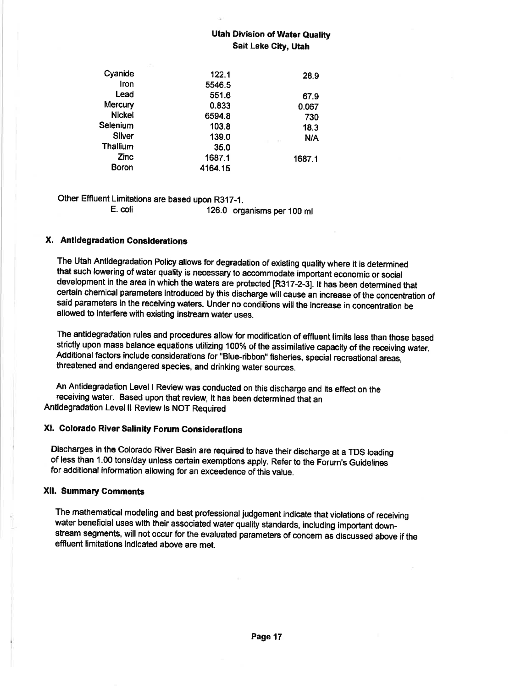| Cyanide         | 122.1   | 28.9                   |
|-----------------|---------|------------------------|
| Iron            | 5546.5  |                        |
| Lead            | 551.6   | 67.9                   |
| Mercury         | 0.833   | 0.067                  |
| <b>Nickel</b>   | 6594.8  | 730                    |
| Selenium        | 103.8   | 18.3                   |
| <b>Silver</b>   | 139.0   | <b>N/A</b><br>$\sim$ 1 |
| <b>Thallium</b> | 35.0    |                        |
| Zinc            | 1687.1  | 1687.1                 |
| Boron           | 4164.15 |                        |
|                 |         |                        |

Other Effluent Limitatíons are based upon R317-i.

126.0 organisms per 100 ml

#### X. Antidegradation Considerations

The Utah Antidegradation Policy allows for degradation of existing quality where it is determined that such lowering of water quality is necessary to accommodate important economic or social development in the area in which the waters are protected [R317-2-3]. It has been determined that certain chemical parameters introduced by this discharge will cause an increase of the concentration of said parameters in the receiving waters. Under no conditions will the increase in concentration be allowed to interfere with existing instream water uses.

The antidegradation rules and procedures allow for modification of effluent limits less than those based strictly upon mass balance equations utilizing 100% of the assimilative capacity of the receiving water. Additional factors include considerations for "Blue-ribbon" fisheries, special recreational areas, threatened and endangered species, and drinking water sources.

An Antidegradation Level I Review was conducted on this discharge and its effect on the receiving water, Based upon that review, it has been determined that an Antidegradation Levelll Review is NOT Required

# Xl. Golorado River Salinity Forum Gonsiderations

Discharges in the Colorado River Basin are required to have their discharge at a TDS loading of less than 1.00 tons/day unless certain exemptions apply. Refer to the Forum's Guidelines for additional information allowing for an exceedence of this value.

#### Xll. Summary Comments

The mathematical modeling and best professional judgement indicate that violations of receiving water beneficial uses with their associated water quality standards, including important downstream segments, will not occur for the evaluated parameters of concern as discussed above if the effluent limitations indicated above are met.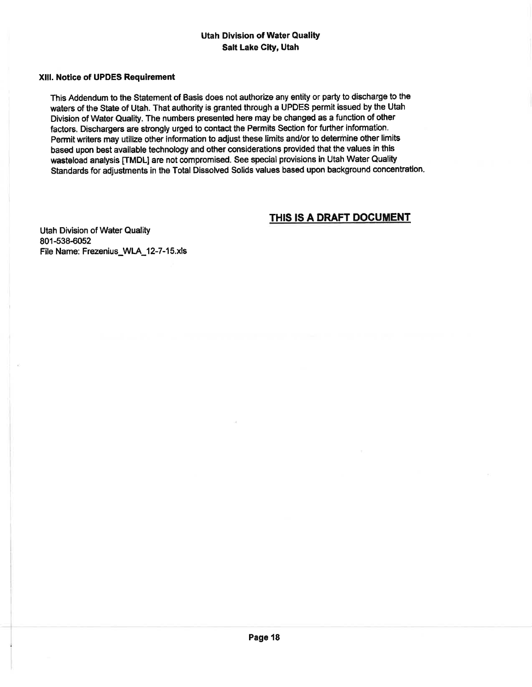#### Xlll. Notice of UPDES Requirement

This Addendum to the Statement of Basis does not authorize any entity or party to discharge to the waters of the State of Utah. That authority is granted through a UPDES permit issued by the Utah Division of Water Quality. The numbers presented here may be changed as a function of other factors. Dischargers are strongly urged to contact the Permits Section for further information. Permit writers may utilize other information to adjust these limits and/or to determine other limits based upon best available technology and other considerations provided that the values in this wasteload analysis [TMDL] are not compromised. See special provisions in Utah Water Quality Standards for adjustments in the Total Dissolved Solids values based upon background concentration,

# THIS IS A DRAFT DOCUMENT

Utah Division of Water Quality 801-s38-6052 File Name: Frezenius\_WLA\_12-7-15.xls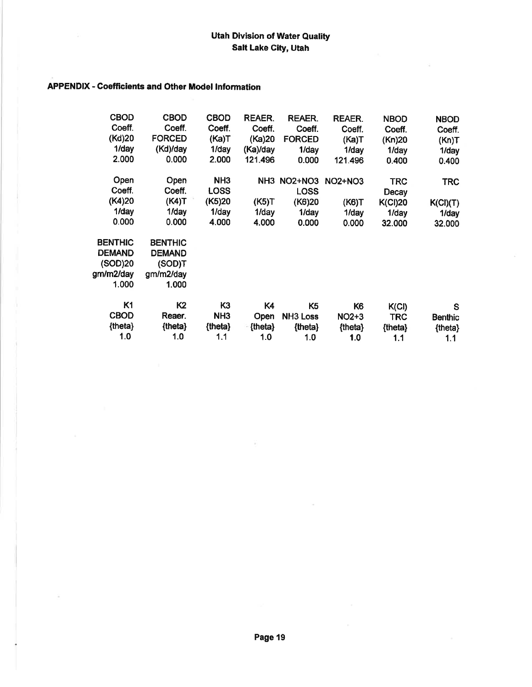## APPENDX - Goefficients and Othe¡ Model lnformation

| <b>CBOD</b><br>Coeff.<br>(Kd)20<br>1/day<br>2.000                | <b>CBOD</b><br>Coeff.<br><b>FORCED</b><br>(Kd)/day<br>0.000     | <b>CBOD</b><br>Coeff.<br>(Ka)T<br>1/day<br>2.000          | REAER.<br>Coeff.<br>(Ka)20<br>(Ka)/day<br>121.496 | <b>REAER.</b><br>Coeff.<br><b>FORCED</b><br>$1$ /day<br>0.000 | REAER.<br>Coeff.<br>(Ka)T<br>1/day<br>121.496 | <b>NBOD</b><br>Coeff.<br>(Kn)20<br>$1$ /day<br>0.400 | <b>NBOD</b><br>Coeff.<br>(Kn)T<br>$1$ /day<br>0.400 |
|------------------------------------------------------------------|-----------------------------------------------------------------|-----------------------------------------------------------|---------------------------------------------------|---------------------------------------------------------------|-----------------------------------------------|------------------------------------------------------|-----------------------------------------------------|
| Open<br>Coeff.                                                   | Open<br>Coeff.                                                  | NH <sub>3</sub><br><b>LOSS</b>                            |                                                   | NH3 NO2+NO3<br><b>LOSS</b>                                    | <b>NO2+NO3</b>                                | <b>TRC</b><br>Decay                                  | <b>TRC</b>                                          |
| (K4)20                                                           | (K4)T                                                           | (K5)20                                                    | (K5)T                                             | (K6)20                                                        | (K6)T                                         | <b>K(Cl)20</b>                                       | K(Cl)(T)                                            |
| $1$ /day                                                         | 1/day                                                           | $1$ /day                                                  | 1/day                                             | 1/day                                                         | $1$ /day                                      | 1/day                                                | $1$ /day                                            |
| 0.000                                                            | 0.000                                                           | 4.000                                                     | 4.000                                             | 0.000                                                         | 0.000                                         | 32,000                                               | 32.000                                              |
| <b>BENTHIC</b><br><b>DEMAND</b><br>(SOD)20<br>gm/m2/day<br>1.000 | <b>BENTHIC</b><br><b>DEMAND</b><br>(SOD)T<br>gm/m2/day<br>1.000 |                                                           |                                                   |                                                               |                                               |                                                      |                                                     |
| K <sub>1</sub><br><b>CBOD</b><br>{theta}<br>1.0                  | K <sub>2</sub><br>Reaer.<br>{theta}<br>1.0                      | K <sub>3</sub><br>NH <sub>3</sub><br>${$ theta $}$<br>1.1 | K4<br>Open<br>{theta}<br>1.0                      | К5<br><b>NH3 Loss</b><br>{theta}<br>1.0                       | K <sub>6</sub><br>$NO2+3$<br>{theta}<br>1.0   | K(Cl)<br><b>TRC</b><br>{theta}<br>1.1                | S<br><b>Benthic</b><br>{theta}<br>1.1               |